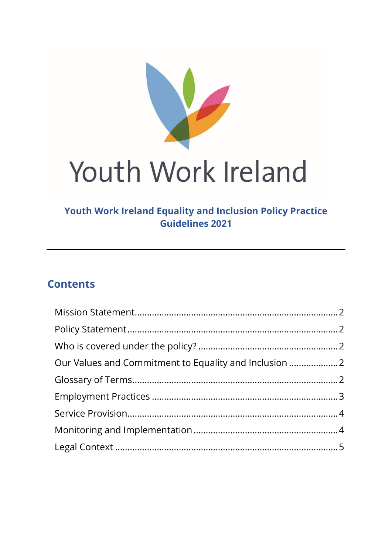

# Youth Work Ireland

## **Youth Work Ireland Equality and Inclusion Policy Practice Guidelines 2021**

# **Contents**

| Our Values and Commitment to Equality and Inclusion |  |
|-----------------------------------------------------|--|
|                                                     |  |
|                                                     |  |
|                                                     |  |
|                                                     |  |
|                                                     |  |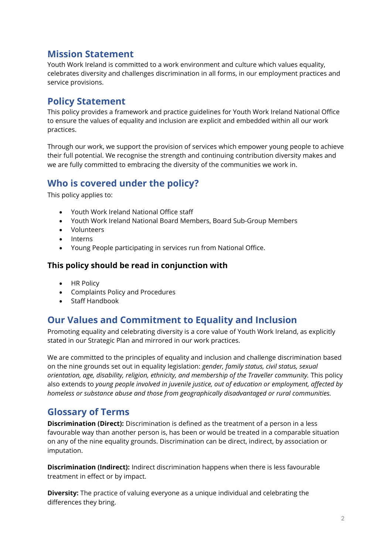#### <span id="page-1-0"></span>**Mission Statement**

Youth Work Ireland is committed to a work environment and culture which values equality, celebrates diversity and challenges discrimination in all forms, in our employment practices and service provisions.

#### <span id="page-1-1"></span>**Policy Statement**

This policy provides a framework and practice guidelines for Youth Work Ireland National Office to ensure the values of equality and inclusion are explicit and embedded within all our work practices.

Through our work, we support the provision of services which empower young people to achieve their full potential. We recognise the strength and continuing contribution diversity makes and we are fully committed to embracing the diversity of the communities we work in.

#### <span id="page-1-2"></span>**Who is covered under the policy?**

This policy applies to:

- Youth Work Ireland National Office staff
- Youth Work Ireland National Board Members, Board Sub-Group Members
- Volunteers
- Interns
- Young People participating in services run from National Office.

#### **This policy should be read in conjunction with**

- HR Policy
- Complaints Policy and Procedures
- Staff Handbook

## <span id="page-1-3"></span>**Our Values and Commitment to Equality and Inclusion**

Promoting equality and celebrating diversity is a core value of Youth Work Ireland, as explicitly stated in our Strategic Plan and mirrored in our work practices.

We are committed to the principles of equality and inclusion and challenge discrimination based on the nine grounds set out in equality legislation: *gender, family status, civil status, sexual orientation, age, disability, religion, ethnicity, and membership of the Traveller community.* This policy also extends to *young people involved in juvenile justice, out of education or employment, affected by homeless or substance abuse and those from geographically disadvantaged or rural communities.* 

## <span id="page-1-4"></span>**Glossary of Terms**

**Discrimination (Direct):** Discrimination is defined as the treatment of a person in a less favourable way than another person is, has been or would be treated in a comparable situation on any of the nine equality grounds. Discrimination can be direct, indirect, by association or imputation.

**Discrimination (Indirect):** Indirect discrimination happens when there is less favourable treatment in effect or by impact.

**Diversity:** The practice of valuing everyone as a unique individual and celebrating the differences they bring.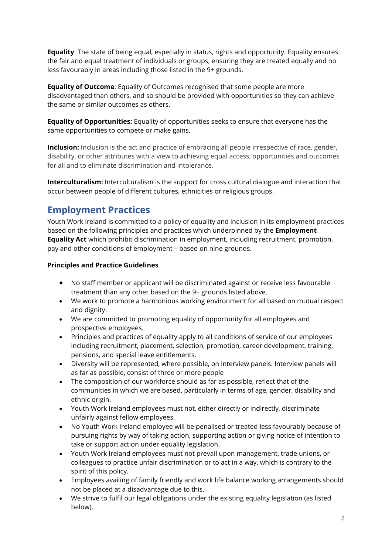**Equality**: The state of being equal, especially in status, rights and opportunity. Equality ensures the fair and equal treatment of individuals or groups, ensuring they are treated equally and no less favourably in areas including those listed in the 9+ grounds.

**Equality of Outcome**: Equality of Outcomes recognised that some people are more disadvantaged than others, and so should be provided with opportunities so they can achieve the same or similar outcomes as others.

**Equality of Opportunities:** Equality of opportunities seeks to ensure that everyone has the same opportunities to compete or make gains.

**Inclusion:** Inclusion is the act and practice of embracing all people irrespective of race, gender, disability, or other attributes with a view to achieving equal access, opportunities and outcomes for all and to eliminate discrimination and intolerance.

**Interculturalism:** Interculturalism is the support for cross cultural dialogue and interaction that occur between people of different cultures, ethnicities or religious groups.

## <span id="page-2-0"></span>**Employment Practices**

Youth Work Ireland is committed to a policy of equality and inclusion in its employment practices based on the following principles and practices which underpinned by the **Employment Equality Act** which prohibit discrimination in employment, including recruitment, promotion, pay and other conditions of employment – based on nine grounds.

#### **Principles and Practice Guidelines**

- No staff member or applicant will be discriminated against or receive less favourable treatment than any other based on the 9+ grounds listed above.
- We work to promote a harmonious working environment for all based on mutual respect and dignity.
- We are committed to promoting equality of opportunity for all employees and prospective employees.
- Principles and practices of equality apply to all conditions of service of our employees including recruitment, placement, selection, promotion, career development, training, pensions, and special leave entitlements.
- Diversity will be represented, where possible, on interview panels. Interview panels will as far as possible, consist of three or more people
- The composition of our workforce should as far as possible, reflect that of the communities in which we are based, particularly in terms of age, gender, disability and ethnic origin.
- Youth Work Ireland employees must not, either directly or indirectly, discriminate unfairly against fellow employees.
- No Youth Work Ireland employee will be penalised or treated less favourably because of pursuing rights by way of taking action, supporting action or giving notice of intention to take or support action under equality legislation.
- Youth Work Ireland employees must not prevail upon management, trade unions, or colleagues to practice unfair discrimination or to act in a way, which is contrary to the spirit of this policy.
- Employees availing of family friendly and work life balance working arrangements should not be placed at a disadvantage due to this.
- We strive to fulfil our legal obligations under the existing equality legislation (as listed below).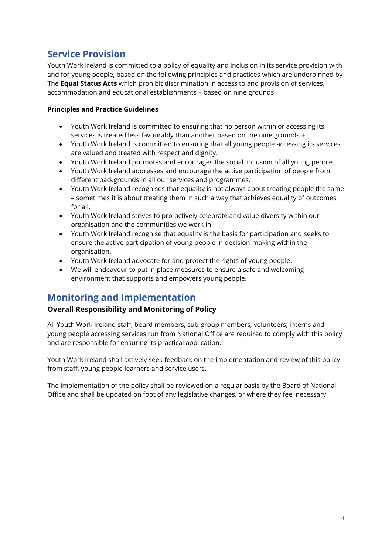## <span id="page-3-0"></span>**Service Provision**

Youth Work Ireland is committed to a policy of equality and inclusion in its service provision with and for young people, based on the following principles and practices which are underpinned by The **Equal Status Acts** which prohibit discrimination in access to and provision of services, accommodation and educational establishments – based on nine grounds.

#### **Principles and Practice Guidelines**

- Youth Work Ireland is committed to ensuring that no person within or accessing its services is treated less favourably than another based on the nine grounds +.
- Youth Work Ireland is committed to ensuring that all young people accessing its services are valued and treated with respect and dignity.
- Youth Work Ireland promotes and encourages the social inclusion of all young people.
- Youth Work Ireland addresses and encourage the active participation of people from different backgrounds in all our services and programmes.
- Youth Work Ireland recognises that equality is not always about treating people the same – sometimes it is about treating them in such a way that achieves equality of outcomes for all.
- Youth Work Ireland strives to pro-actively celebrate and value diversity within our organisation and the communities we work in.
- Youth Work Ireland recognise that equality is the basis for participation and seeks to ensure the active participation of young people in decision-making within the organisation.
- Youth Work Ireland advocate for and protect the rights of young people.
- We will endeavour to put in place measures to ensure a safe and welcoming environment that supports and empowers young people.

## <span id="page-3-1"></span>**Monitoring and Implementation**

#### **Overall Responsibility and Monitoring of Policy**

All Youth Work Ireland staff, board members, sub-group members, volunteers, interns and young people accessing services run from National Office are required to comply with this policy and are responsible for ensuring its practical application.

Youth Work Ireland shall actively seek feedback on the implementation and review of this policy from staff, young people learners and service users.

The implementation of the policy shall be reviewed on a regular basis by the Board of National Office and shall be updated on foot of any legislative changes, or where they feel necessary.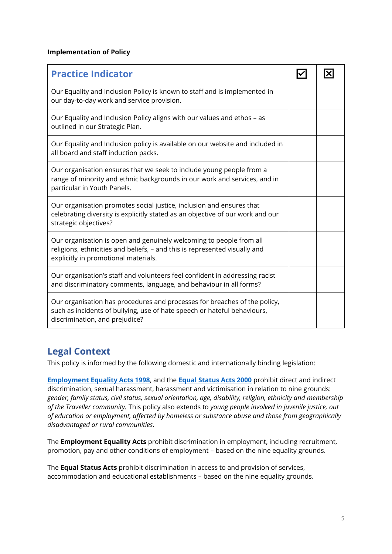#### **Implementation of Policy**

| <b>Practice Indicator</b>                                                                                                                                                                 |  |
|-------------------------------------------------------------------------------------------------------------------------------------------------------------------------------------------|--|
| Our Equality and Inclusion Policy is known to staff and is implemented in<br>our day-to-day work and service provision.                                                                   |  |
| Our Equality and Inclusion Policy aligns with our values and ethos - as<br>outlined in our Strategic Plan.                                                                                |  |
| Our Equality and Inclusion policy is available on our website and included in<br>all board and staff induction packs.                                                                     |  |
| Our organisation ensures that we seek to include young people from a<br>range of minority and ethnic backgrounds in our work and services, and in<br>particular in Youth Panels.          |  |
| Our organisation promotes social justice, inclusion and ensures that<br>celebrating diversity is explicitly stated as an objective of our work and our<br>strategic objectives?           |  |
| Our organisation is open and genuinely welcoming to people from all<br>religions, ethnicities and beliefs, - and this is represented visually and<br>explicitly in promotional materials. |  |
| Our organisation's staff and volunteers feel confident in addressing racist<br>and discriminatory comments, language, and behaviour in all forms?                                         |  |
| Our organisation has procedures and processes for breaches of the policy,<br>such as incidents of bullying, use of hate speech or hateful behaviours,<br>discrimination, and prejudice?   |  |

## <span id="page-4-0"></span>**Legal Context**

This policy is informed by the following domestic and internationally binding legislation:

**[Employment Equality Acts 1998](http://www.irishstatutebook.ie/eli/1998/act/21/enacted/en/html)**, and the **[Equal Status Acts 2000](http://www.irishstatutebook.ie/eli/1998/act/21/enacted/en/html)** prohibit direct and indirect discrimination, sexual harassment, harassment and victimisation in relation to nine grounds: *gender, family status, civil status, sexual orientation, age, disability, religion, ethnicity and membership of the Traveller community.* This policy also extends to *young people involved in juvenile justice, out of education or employment, affected by homeless or substance abuse and those from geographically disadvantaged or rural communities.* 

The **Employment Equality Acts** prohibit discrimination in employment, including recruitment, promotion, pay and other conditions of employment – based on the nine equality grounds.

The **Equal Status Acts** prohibit discrimination in access to and provision of services, accommodation and educational establishments – based on the nine equality grounds.